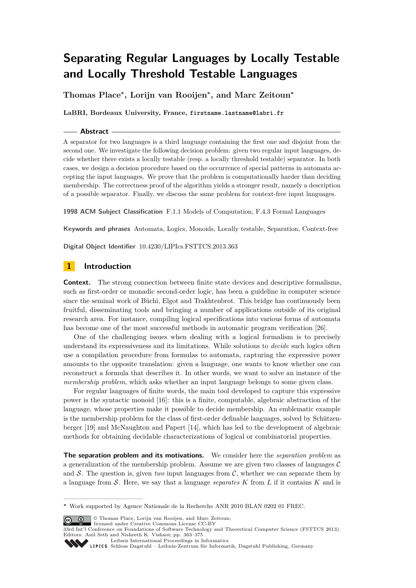# **Separating Regular Languages by Locally Testable and Locally Threshold Testable Languages**

**Thomas Place<sup>∗</sup> , Lorijn van Rooijen<sup>∗</sup> , and Marc Zeitoun<sup>∗</sup>**

**LaBRI, Bordeaux University, France, firstname.lastname@labri.fr**

#### **Abstract**

A separator for two languages is a third language containing the first one and disjoint from the second one. We investigate the following decision problem: given two regular input languages, decide whether there exists a locally testable (resp. a locally threshold testable) separator. In both cases, we design a decision procedure based on the occurrence of special patterns in automata accepting the input languages. We prove that the problem is computationally harder than deciding membership. The correctness proof of the algorithm yields a stronger result, namely a description of a possible separator. Finally, we discuss the same problem for context-free input languages.

**1998 ACM Subject Classification** F.1.1 Models of Computation, F.4.3 Formal Languages

**Keywords and phrases** Automata, Logics, Monoids, Locally testable, Separation, Context-free

**Digital Object Identifier** [10.4230/LIPIcs.FSTTCS.2013.363](http://dx.doi.org/10.4230/LIPIcs.FSTTCS.2013.363)

# **1 Introduction**

**Context.** The strong connection between finite state devices and descriptive formalisms, such as first-order or monadic second-order logic, has been a guideline in computer science since the seminal work of Büchi, Elgot and Trakhtenbrot. This bridge has continuously been fruitful, disseminating tools and bringing a number of applications outside of its original research area. For instance, compiling logical specifications into various forms of automata has become one of the most successful methods in automatic program verification [\[26\]](#page-12-0).

One of the challenging issues when dealing with a logical formalism is to precisely understand its expressiveness and its limitations. While solutions to *decide* such logics often use a compilation procedure from formulas to automata, capturing the expressive power amounts to the opposite translation: given a language, one wants to know whether one can reconstruct a formula that describes it. In other words, we want to solve an instance of the *membership problem*, which asks whether an input language belongs to some given class.

For regular languages of finite words, the main tool developed to capture this expressive power is the syntactic monoid [\[16\]](#page-11-0): this is a finite, computable, algebraic abstraction of the language, whose properties make it possible to decide membership. An emblematic example is the membership problem for the class of first-order definable languages, solved by Schützenberger [\[19\]](#page-12-1) and McNaughton and Papert [\[14\]](#page-11-1), which has led to the development of algebraic methods for obtaining decidable characterizations of logical or combinatorial properties.

**The separation problem and its motivations.** We consider here the *separation problem* as a generalization of the membership problem. Assume we are given two classes of languages  $\mathcal C$ and S. The question is, given *two* input languages from  $\mathcal{C}$ , whether we can separate them by a language from S. Here, we say that a language *separates K* from *L* if it contains *K* and is

© Thomas Place, Lorijn van Rooijen, and Marc Zeitoun;



[Leibniz International Proceedings in Informatics](http://www.dagstuhl.de/lipics/)

**<sup>∗</sup>** Work supported by Agence Nationale de la Recherche ANR 2010 BLAN 0202 01 FREC.

Leibniz international Floretungs in missimosische Publishing, Germany<br>LIPICS [Schloss Dagstuhl – Leibniz-Zentrum für Informatik, Dagstuhl Publishing, Germany](http://www.dagstuhl.de)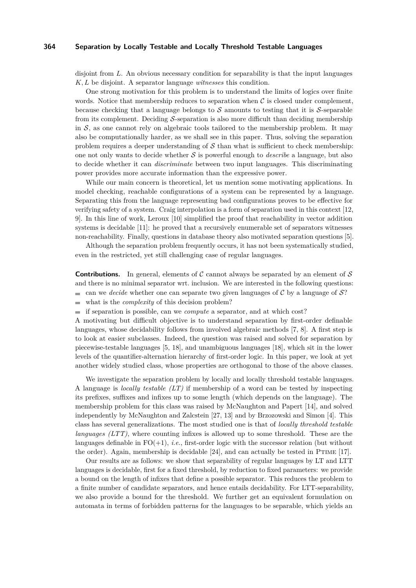disjoint from *L*. An obvious necessary condition for separability is that the input languages *K, L* be disjoint. A separator language *witnesses* this condition.

One strong motivation for this problem is to understand the limits of logics over finite words. Notice that membership reduces to separation when  $\mathcal C$  is closed under complement, because checking that a language belongs to  $S$  amounts to testing that it is  $S$ -separable from its complement. Deciding  $S$ -separation is also more difficult than deciding membership in  $S$ , as one cannot rely on algebraic tools tailored to the membership problem. It may also be computationally harder, as we shall see in this paper. Thus, solving the separation problem requires a deeper understanding of  $\mathcal S$  than what is sufficient to check membership: one not only wants to decide whether S is powerful enough to *describe* a language, but also to decide whether it can *discriminate* between two input languages. This discriminating power provides more accurate information than the expressive power.

While our main concern is theoretical, let us mention some motivating applications. In model checking, reachable configurations of a system can be represented by a language. Separating this from the language representing bad configurations proves to be effective for verifying safety of a system. Craig interpolation is a form of separation used in this context [\[12,](#page-11-2) [9\]](#page-11-3). In this line of work, Leroux [\[10\]](#page-11-4) simplified the proof that reachability in vector addition systems is decidable [\[11\]](#page-11-5): he proved that a recursively enumerable set of separators witnesses non-reachability. Finally, questions in database theory also motivated separation questions [\[5\]](#page-11-6).

Although the separation problem frequently occurs, it has not been systematically studied, even in the restricted, yet still challenging case of regular languages.

**Contributions.** In general, elements of C cannot always be separated by an element of S and there is no minimal separator wrt. inclusion. We are interested in the following questions:

- can we *decide* whether one can separate two given languages of  $C$  by a language of  $S$ ?
- m. what is the *complexity* of this decision problem?
- if separation is possible, can we *compute* a separator, and at which cost?

A motivating but difficult objective is to understand separation by first-order definable languages, whose decidability follows from involved algebraic methods [\[7,](#page-11-7) [8\]](#page-11-8). A first step is to look at easier subclasses. Indeed, the question was raised and solved for separation by piecewise-testable languages [\[5,](#page-11-6) [18\]](#page-12-3), and unambiguous languages [\[18\]](#page-12-3), which sit in the lower levels of the quantifier-alternation hierarchy of first-order logic. In this paper, we look at yet another widely studied class, whose properties are orthogonal to those of the above classes.

We investigate the separation problem by locally and locally threshold testable languages. A language is *locally testable (LT)* if membership of a word can be tested by inspecting its prefixes, suffixes and infixes up to some length (which depends on the language). The membership problem for this class was raised by McNaughton and Papert [\[14\]](#page-11-1), and solved independently by McNaughton and Zalcstein [\[27,](#page-12-4) [13\]](#page-11-9) and by Brzozowski and Simon [\[4\]](#page-11-10). This class has several generalizations. The most studied one is that of *locally threshold testable languages (LTT)*, where counting infixes is allowed up to some threshold. These are the languages definable in  $FO(+1)$ , *i.e.*, first-order logic with the successor relation (but without the order). Again, membership is decidable  $[24]$ , and can actually be tested in PTIME  $[17]$ .

Our results are as follows: we show that separability of regular languages by LT and LTT languages is decidable, first for a fixed threshold, by reduction to fixed parameters: we provide a bound on the length of infixes that define a possible separator. This reduces the problem to a finite number of candidate separators, and hence entails decidability. For LTT-separability, we also provide a bound for the threshold. We further get an equivalent formulation on automata in terms of forbidden patterns for the languages to be separable, which yields an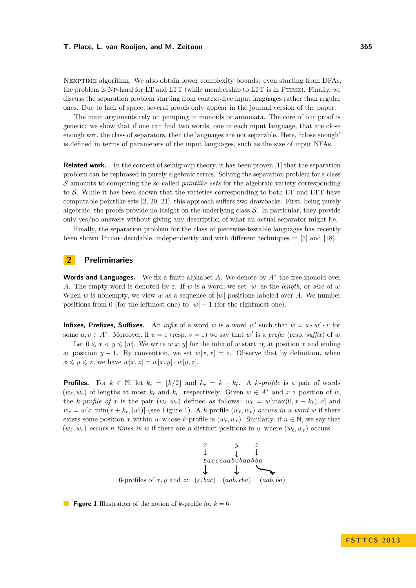Nexptime algorithm. We also obtain lower complexity bounds: even starting from DFAs, the problem is NP-hard for LT and LTT (while membership to LTT is in PTIME). Finally, we discuss the separation problem starting from context-free input languages rather than regular ones. Due to lack of space, several proofs only appear in the journal version of the paper.

The main arguments rely on pumping in monoids or automata. The core of our proof is generic: we show that if one can find two words, one in each input language, that are close enough wrt. the class of separators, then the languages are not separable. Here, "close enough" is defined in terms of parameters of the input languages, such as the size of input NFAs.

**Related work.** In the context of semigroup theory, it has been proven [\[1\]](#page-11-11) that the separation problem can be rephrased in purely algebraic terms. Solving the separation problem for a class S amounts to computing the so-called *pointlike sets* for the algebraic variety corresponding to  $S$ . While it has been shown that the varieties corresponding to both LT and LTT have computable pointlike sets [\[2,](#page-11-12) [20,](#page-12-7) [21\]](#page-12-8), this approach suffers two drawbacks. First, being purely algebraic, the proofs provide no insight on the underlying class  $S$ . In particular, they provide only yes/no answers without giving any description of what an actual separator might be.

Finally, the separation problem for the class of piecewise-testable languages has recently been shown Ptime-decidable, independently and with different techniques in [\[5\]](#page-11-6) and [\[18\]](#page-12-3).

## **2 Preliminaries**

**Words and Languages.** We fix a finite alphabet *A*. We denote by *A*<sup>∗</sup> the free monoid over *A*. The empty word is denoted by  $\varepsilon$ . If *w* is a word, we set |w| as the *length*, or *size* of *w*. When *w* is nonempty, we view *w* as a sequence of  $|w|$  positions labeled over *A*. We number positions from 0 (for the leftmost one) to  $|w| - 1$  (for the rightmost one).

**Infixes, Prefixes, Suffixes.** An *infix* of a word *w* is a word *w'* such that  $w = u \cdot w' \cdot v$  for some  $u, v \in A^*$ . Moreover, if  $u = \varepsilon$  (resp.  $v = \varepsilon$ ) we say that  $w'$  is a *prefix* (resp. *suffix*) of w. Let  $0 \leq x \leq y \leq |w|$ . We write  $w[x, y]$  for the infix of *w* starting at position *x* and ending

at position *y* − 1. By convention, we set  $w[x, x] = \varepsilon$ . Observe that by definition, when  $x \leq y \leq z$ , we have  $w[x, z] = w[x, y] \cdot w[y, z]$ .

**Profiles.** For  $k \in \mathbb{N}$ , let  $k_{\ell} = |k/2|$  and  $k_{r} = k - k_{\ell}$ . A *k-profile* is a pair of words  $(w_{\ell}, w_r)$  of lengths at most  $k_{\ell}$  and  $k_r$ , respectively. Given  $w \in A^*$  and  $x$  a position of  $w$ , the *k*-profile of x is the pair  $(w_\ell, w_r)$  defined as follows:  $w_\ell = w[\max(0, x - k_\ell), x]$  and  $w_r = w[x, \min(x + k_r, |w|)]$  (see Figure [1\)](#page-2-0). A *k*-profile  $(w_\ell, w_r)$  *occurs in a word w* if there exists some position *x* within *w* whose *k*-profile is  $(w_\ell, w_r)$ . Similarly, if  $n \in \mathbb{N}$ , we say that  $(w_{\ell}, w_r)$  *occurs n* times in *w* if there are *n* distinct positions in *w* where  $(w_{\ell}, w_r)$  occurs.

<span id="page-2-0"></span>

**Figure 1** Illustration of the notion of *k*-profile for  $k = 6$ .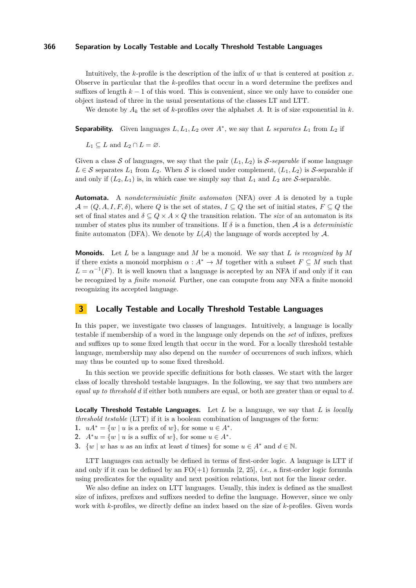Intuitively, the *k*-profile is the description of the infix of *w* that is centered at position *x*. Observe in particular that the *k*-profiles that occur in a word determine the prefixes and suffixes of length *k* − 1 of this word. This is convenient, since we only have to consider one object instead of three in the usual presentations of the classes LT and LTT.

We denote by  $A_k$  the set of *k*-profiles over the alphabet *A*. It is of size exponential in *k*.

**Separability.** Given languages  $L, L_1, L_2$  over  $A^*$ , we say that *L separates*  $L_1$  from  $L_2$  if

 $L_1 \subset L$  and  $L_2 \cap L = \emptyset$ .

Given a class S of languages, we say that the pair  $(L_1, L_2)$  is S-separable if some language  $L \in \mathcal{S}$  separates  $L_1$  from  $L_2$ . When  $\mathcal{S}$  is closed under complement,  $(L_1, L_2)$  is  $\mathcal{S}$ -separable if and only if  $(L_2, L_1)$  is, in which case we simply say that  $L_1$  and  $L_2$  are S-separable.

**Automata.** A *nondeterministic finite automaton* (NFA) over *A* is denoted by a tuple  $\mathcal{A} = (Q, A, I, F, \delta)$ , where *Q* is the set of states,  $I \subseteq Q$  the set of initial states,  $F \subseteq Q$  the set of final states and  $\delta \subseteq Q \times A \times Q$  the transition relation. The *size* of an automaton is its number of states plus its number of transitions. If  $\delta$  is a function, then  $\mathcal A$  is a *deterministic* finite automaton (DFA). We denote by  $L(\mathcal{A})$  the language of words accepted by  $\mathcal{A}$ .

**Monoids.** Let *L* be a language and *M* be a monoid. We say that *L is recognized by M* if there exists a monoid morphism  $\alpha : A^* \to M$  together with a subset  $F \subseteq M$  such that  $L = \alpha^{-1}(F)$ . It is well known that a language is accepted by an NFA if and only if it can be recognized by a *finite monoid*. Further, one can compute from any NFA a finite monoid recognizing its accepted language.

# **3 Locally Testable and Locally Threshold Testable Languages**

In this paper, we investigate two classes of languages. Intuitively, a language is locally testable if membership of a word in the language only depends on the *set* of infixes, prefixes and suffixes up to some fixed length that occur in the word. For a locally threshold testable language, membership may also depend on the *number* of occurrences of such infixes, which may thus be counted up to some fixed threshold.

In this section we provide specific definitions for both classes. We start with the larger class of locally threshold testable languages. In the following, we say that two numbers are *equal up to threshold d* if either both numbers are equal, or both are greater than or equal to *d*.

**Locally Threshold Testable Languages.** Let *L* be a language, we say that *L* is *locally threshold testable* (LTT) if it is a boolean combination of languages of the form:

- <span id="page-3-0"></span>1.  $uA^* = \{w \mid u \text{ is a prefix of } w\}$ , for some  $u \in A^*$ .
- <span id="page-3-1"></span>**2.**  $A^*u = \{w \mid u \text{ is a suffix of } w\}$ , for some  $u \in A^*$ .
- <span id="page-3-2"></span>**3.**  $\{w \mid w \text{ has } u \text{ as an infix at least } d \text{ times }\}$  for some  $u \in A^*$  and  $d \in \mathbb{N}$ .

LTT languages can actually be defined in terms of first-order logic. A language is LTT if and only if it can be defined by an  $FO(+1)$  formula [\[2,](#page-11-12) [25\]](#page-12-9), *i.e.*, a first-order logic formula using predicates for the equality and next position relations, but not for the linear order.

We also define an index on LTT languages. Usually, this index is defined as the smallest size of infixes, prefixes and suffixes needed to define the language. However, since we only work with *k*-profiles, we directly define an index based on the size of *k*-profiles. Given words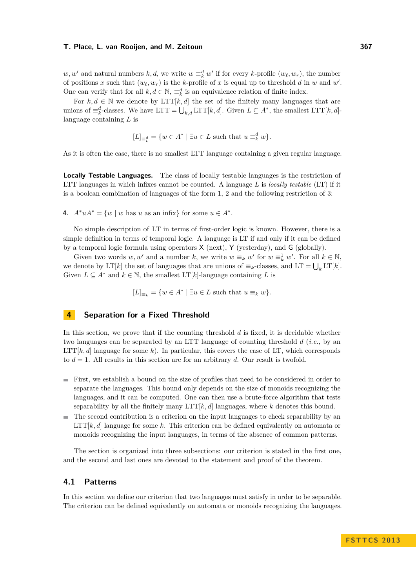$w, w'$  and natural numbers  $k, d$ , we write  $w \equiv_k^d w'$  if for every  $k$ -profile  $(w_\ell, w_r)$ , the number of positions x such that  $(w_\ell, w_r)$  is the k-profile of x is equal up to threshold d in w and w'. One can verify that for all  $k, d \in \mathbb{N}$ ,  $\equiv_k^d$  is an equivalence relation of finite index.

For  $k, d \in \mathbb{N}$  we denote by LTT[ $k, d$ ] the set of the finitely many languages that are unions of  $\equiv_k^d$ -classes. We have LTT =  $\bigcup_{k,d} \text{LTT}[k,d]$ . Given  $L \subseteq A^*$ , the smallest LTT[ $k, d$ ]language containing *L* is

$$
[L]_{\equiv_k^d} = \{w \in A^* \mid \exists u \in L \text{ such that } u \equiv_k^d w\}.
$$

As it is often the case, there is no smallest LTT language containing a given regular language.

**Locally Testable Languages.** The class of locally testable languages is the restriction of LTT languages in which infixes cannot be counted. A language *L* is *locally testable* (LT) if it is a boolean combination of languages of the form [1,](#page-3-0) [2](#page-3-1) and the following restriction of [3:](#page-3-2)

**4.**  $A^*uA^* = \{w \mid w \text{ has } u \text{ as an infix}\}\)$  for some  $u \in A^*$ .

No simple description of LT in terms of first-order logic is known. However, there is a simple definition in terms of temporal logic. A language is LT if and only if it can be defined by a temporal logic formula using operators X (next), Y (yesterday), and G (globally).

Given two words  $w, w'$  and a number  $k$ , we write  $w \equiv_k w'$  for  $w \equiv_k^1 w'$ . For all  $k \in \mathbb{N}$ , we denote by LT[*k*] the set of languages that are unions of  $\equiv_k$ -classes, and LT  $= \bigcup_k \text{LT}[k]$ . Given  $L \subseteq A^*$  and  $k \in \mathbb{N}$ , the smallest  $LT[k]$ -language containing *L* is

 $[L]_{\equiv_k} = \{w \in A^* \mid \exists u \in L \text{ such that } u \equiv_k w\}.$ 

## **4 Separation for a Fixed Threshold**

In this section, we prove that if the counting threshold *d* is fixed, it is decidable whether two languages can be separated by an LTT language of counting threshold *d* (*i.e.*, by an  $LTT[k, d]$  language for some k). In particular, this covers the case of LT, which corresponds to  $d = 1$ . All results in this section are for an arbitrary  $d$ . Our result is twofold.

- First, we establish a bound on the size of profiles that need to be considered in order to separate the languages. This bound only depends on the size of monoids recognizing the languages, and it can be computed. One can then use a brute-force algorithm that tests separability by all the finitely many LTT[*k, d*] languages, where *k* denotes this bound.
- The second contribution is a criterion on the input languages to check separability by an LTT[*k, d*] language for some *k*. This criterion can be defined equivalently on automata or monoids recognizing the input languages, in terms of the absence of common patterns.

The section is organized into three subsections: our criterion is stated in the first one, and the second and last ones are devoted to the statement and proof of the theorem.

## **4.1 Patterns**

In this section we define our criterion that two languages must satisfy in order to be separable. The criterion can be defined equivalently on automata or monoids recognizing the languages.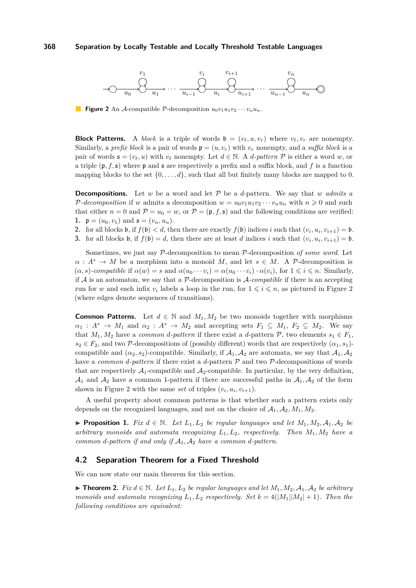<span id="page-5-0"></span>

**Figure 2** An A-compatible P-decomposition  $u_0v_1u_1v_2\cdots v_nu_n$ .

**Block Patterns.** A *block* is a triple of words  $\mathfrak{b} = (v_{\ell}, u, v_r)$  where  $v_{\ell}, v_r$  are nonempty. Similarly, a *prefix block* is a pair of words  $\mathfrak{p} = (u, v_r)$  with  $v_r$  nonempty, and a *suffix block* is a pair of words  $\mathfrak{s} = (v_{\ell}, u)$  with  $v_{\ell}$  nonempty. Let  $d \in \mathbb{N}$ . A *d*-pattern  $P$  is either a word *w*, or a triple  $(\mathfrak{p}, f, \mathfrak{s})$  where  $\mathfrak{p}$  and  $\mathfrak{s}$  are respectively a prefix and a suffix block, and f is a function mapping blocks to the set  $\{0, \ldots, d\}$ , such that all but finitely many blocks are mapped to 0.

**Decompositions.** Let *w* be a word and let  $P$  be a *d*-pattern. We say that *w admits a* P-decomposition if *w* admits a decomposition  $w = u_0 v_1 u_1 v_2 \cdots v_n u_n$  with  $n \ge 0$  and such that either  $n = 0$  and  $P = u_0 = w$ , or  $P = (\mathfrak{p}, f, \mathfrak{s})$  and the following conditions are verified: **1.**  $\mathfrak{p} = (u_0, v_1)$  and  $\mathfrak{s} = (v_n, u_n)$ .

- **2.** for all blocks **b**, if  $f(\mathbf{b}) < d$ , then there are exactly  $f(\mathbf{b})$  indices *i* such that  $(v_i, u_i, v_{i+1}) = \mathbf{b}$ .
- **3.** for all blocks **b**, if  $f(\mathfrak{b}) = d$ , then there are at least *d* indices *i* such that  $(v_i, u_i, v_{i+1}) = \mathfrak{b}$ .

Sometimes, we just say P-decomposition to mean P-decomposition *of some word*. Let  $\alpha: A^* \to M$  be a morphism into a monoid *M*, and let  $s \in M$ . A P-decomposition is  $(\alpha, s)$ -compatible if  $\alpha(w) = s$  and  $\alpha(u_0 \cdots v_i) = \alpha(u_0 \cdots v_i) \cdot \alpha(v_i)$ , for  $1 \leq i \leq n$ . Similarly, if  $A$  is an automaton, we say that a  $P$ -decomposition is  $A$ -compatible if there is an accepting run for *w* and each infix  $v_i$  labels a loop in the run, for  $1 \leq i \leq n$ , as pictured in Figure [2](#page-5-0) (where edges denote sequences of transitions).

**Common Patterns.** Let  $d \in \mathbb{N}$  and  $M_1, M_2$  be two monoids together with morphisms  $\alpha_1 : A^* \to M_1$  and  $\alpha_2 : A^* \to M_2$  and accepting sets  $F_1 \subseteq M_1$ ,  $F_2 \subseteq M_2$ . We say that  $M_1, M_2$  have a *common d-pattern* if there exist a *d*-pattern  $P$ , two elements  $s_1 \in F_1$ ,  $s_2 \in F_2$ , and two P-decompositions of (possibly different) words that are respectively  $(\alpha_1, s_1)$ compatible and  $(\alpha_2, s_2)$ -compatible. Similarly, if  $\mathcal{A}_1, \mathcal{A}_2$  are automata, we say that  $\mathcal{A}_1, \mathcal{A}_2$ have a *common d-pattern* if there exist a *d*-pattern P and two P-decompositions of words that are respectively  $\mathcal{A}_1$ -compatible and  $\mathcal{A}_2$ -compatible. In particular, by the very definition,  $\mathcal{A}_1$  and  $\mathcal{A}_2$  have a common 1-pattern if there are successful paths in  $\mathcal{A}_1, \mathcal{A}_2$  of the form shown in Figure [2](#page-5-0) with the same *set* of triples  $(v_i, u_i, v_{i+1})$ .

A useful property about common patterns is that whether such a pattern exists only depends on the recognized languages, and not on the choice of  $A_1, A_2, M_1, M_2$ .

<span id="page-5-2"></span>▶ **Proposition 1.** *Fix*  $d \in \mathbb{N}$ *. Let*  $L_1, L_2$  *be regular languages and let*  $M_1, M_2, \mathcal{A}_1, \mathcal{A}_2$  *be arbitrary monoids and automata recognizing*  $L_1, L_2$ *, respectively. Then*  $M_1, M_2$  *have a common d-pattern if and only if*  $A_1$ ,  $A_2$  *have a common d-pattern.* 

#### **4.2 Separation Theorem for a Fixed Threshold**

We can now state our main theorem for this section.

<span id="page-5-1"></span>▶ **Theorem 2.** *Fix*  $d \in \mathbb{N}$ *. Let*  $L_1, L_2$  *be regular languages and let*  $M_1, M_2, A_1, A_2$  *be arbitrary monoids and automata recognizing*  $L_1, L_2$  *respectively. Set*  $k = 4(|M_1||M_2| + 1)$ *. Then the following conditions are equivalent:*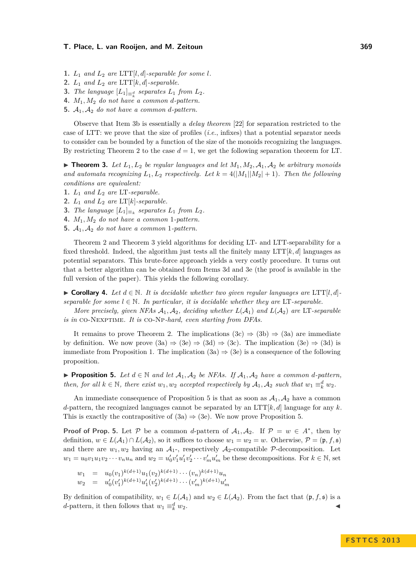- <span id="page-6-5"></span>**1.**  $L_1$  *and*  $L_2$  *are* LTT[*l, d*]*-separable for some l.*
- <span id="page-6-0"></span>**2.**  $L_1$  *and*  $L_2$  *are* LTT[ $k$ *, d*]*-separable.*
- <span id="page-6-4"></span>**3.** *The language*  $[L_1]_{\equiv k}$  *separates*  $L_1$  *from*  $L_2$ *.*
- <span id="page-6-2"></span>**4.** *M*1*, M*<sup>2</sup> *do not have a common d-pattern.*
- <span id="page-6-3"></span>**5.**  $A_1, A_2$  *do not have a common d-pattern.*

Observe that Item [3b](#page-6-0) is essentially a *delay theorem* [\[22\]](#page-12-10) for separation restricted to the case of LTT: we prove that the size of profiles (*i.e.*, infixes) that a potential separator needs to consider can be bounded by a function of the size of the monoids recognizing the languages. By restricting Theorem [2](#page-5-1) to the case  $d = 1$ , we get the following separation theorem for LT.

<span id="page-6-1"></span> $\triangleright$  **Theorem 3.** Let  $L_1, L_2$  be regular languages and let  $M_1, M_2, A_1, A_2$  be arbitrary monoids and automata recognizing  $L_1, L_2$  respectively. Let  $k = 4(|M_1||M_2| + 1)$ . Then the following *conditions are equivalent:*

- **1.**  $L_1$  *and*  $L_2$  *are* LT-separable.
- **2.**  $L_1$  *and*  $L_2$  *are*  $LT[k]$ *-separable.*
- **3.** *The language*  $[L_1]_{\equiv k}$  *separates*  $L_1$  *from*  $L_2$ *.*
- **4.** *M*1*, M*<sup>2</sup> *do not have a common* 1*-pattern.*
- **5.**  $A_1$ ,  $A_2$  *do not have a common* 1-pattern.

Theorem [2](#page-5-1) and Theorem [3](#page-6-1) yield algorithms for deciding LT- and LTT-separability for a fixed threshold. Indeed, the algorithm just tests all the finitely many  $LTT[k, d]$  languages as potential separators. This brute-force approach yields a very costly procedure. It turns out that a better algorithm can be obtained from Items [3d](#page-6-2) and [3e](#page-6-3) (the proof is available in the full version of the paper). This yields the following corollary.

▶ Corollary 4. Let  $d \in \mathbb{N}$ . It is decidable whether two given regular languages are LTT[*l, d*] *separable for some*  $l \in \mathbb{N}$ *. In particular, it is decidable whether they are* LT-separable.

*More precisely, given NFAs*  $A_1, A_2$ *, deciding whether*  $L(A_1)$  *and*  $L(A_2)$  *are* LT-separable *is in* co-Nexptime*. It is* co-Np*-hard, even starting from DFAs.*

It remains to prove Theorem [2.](#page-5-1) The implications  $(3c) \Rightarrow (3b) \Rightarrow (3a)$  $(3c) \Rightarrow (3b) \Rightarrow (3a)$  $(3c) \Rightarrow (3b) \Rightarrow (3a)$  $(3c) \Rightarrow (3b) \Rightarrow (3a)$  $(3c) \Rightarrow (3b) \Rightarrow (3a)$  are immediate by definition. We now prove  $(3a) \Rightarrow (3e) \Rightarrow (3d) \Rightarrow (3c)$  $(3a) \Rightarrow (3e) \Rightarrow (3d) \Rightarrow (3c)$  $(3a) \Rightarrow (3e) \Rightarrow (3d) \Rightarrow (3c)$  $(3a) \Rightarrow (3e) \Rightarrow (3d) \Rightarrow (3c)$  $(3a) \Rightarrow (3e) \Rightarrow (3d) \Rightarrow (3c)$  $(3a) \Rightarrow (3e) \Rightarrow (3d) \Rightarrow (3c)$  $(3a) \Rightarrow (3e) \Rightarrow (3d) \Rightarrow (3c)$ . The implication  $(3e) \Rightarrow (3d)$  is immediate from Proposition [1.](#page-5-2) The implication  $(3a) \Rightarrow (3e)$  $(3a) \Rightarrow (3e)$  $(3a) \Rightarrow (3e)$  is a consequence of the following proposition.

<span id="page-6-6"></span>▶ **Proposition 5.** Let  $d \in \mathbb{N}$  and let  $\mathcal{A}_1, \mathcal{A}_2$  be NFAs. If  $\mathcal{A}_1, \mathcal{A}_2$  have a common *d*-pattern, *then, for all*  $k \in \mathbb{N}$ *, there exist*  $w_1, w_2$  *accepted respectively by*  $A_1, A_2$  *such that*  $w_1 \equiv_k^d w_2$ *.* 

An immediate consequence of Proposition [5](#page-6-6) is that as soon as  $A_1, A_2$  have a common *d*-pattern, the recognized languages cannot be separated by an  $LTT[k, d]$  language for any *k*. This is exactly the contrapositive of  $(3a) \Rightarrow (3e)$  $(3a) \Rightarrow (3e)$  $(3a) \Rightarrow (3e)$ . We now prove Proposition [5.](#page-6-6)

**Proof of Prop.** [5.](#page-6-6) Let P be a common *d*-pattern of  $A_1, A_2$ . If  $P = w \in A^*$ , then by definition,  $w \in L(\mathcal{A}_1) \cap L(\mathcal{A}_2)$ , so it suffices to choose  $w_1 = w_2 = w$ . Otherwise,  $\mathcal{P} = (\mathfrak{p}, f, \mathfrak{s})$ and there are  $w_1, w_2$  having an  $\mathcal{A}_{1}$ -, respectively  $\mathcal{A}_2$ -compatible P-decomposition. Let  $w_1 = u_0v_1u_1v_2\cdots v_nu_n$  and  $w_2 = u'_0v'_1u'_1v'_2\cdots v'_mu'_m$  be these decompositions. For  $k \in \mathbb{N}$ , set

$$
w_1 = u_0(v_1)^{k(d+1)} u_1(v_2)^{k(d+1)} \cdots (v_n)^{k(d+1)} u_n
$$
  
\n
$$
w_2 = u'_0(v'_1)^{k(d+1)} u'_1(v'_2)^{k(d+1)} \cdots (v'_m)^{k(d+1)} u'_m
$$

By definition of compatibility,  $w_1 \in L(\mathcal{A}_1)$  and  $w_2 \in L(\mathcal{A}_2)$ . From the fact that  $(\mathfrak{p}, f, \mathfrak{s})$  is a *d*-pattern, it then follows that  $w_1 \equiv_k^d w_2$ .  $\frac{d}{k} w_2$ .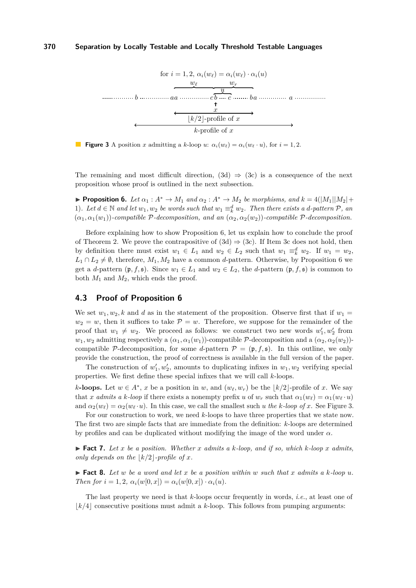<span id="page-7-1"></span>

**Figure 3** A position *x* admitting a *k*-loop *u*:  $\alpha_i(w_\ell) = \alpha_i(w_\ell \cdot u)$ , for  $i = 1, 2$ .

The remaining and most difficult direction,  $(3d) \Rightarrow (3c)$  $(3d) \Rightarrow (3c)$  $(3d) \Rightarrow (3c)$  is a consequence of the next proposition whose proof is outlined in the next subsection.

<span id="page-7-0"></span> $▶$  **Proposition 6.** *Let*  $α_1$  :  $A^*$  →  $M_1$  *and*  $α_2$  :  $A^*$  →  $M_2$  *be morphisms, and*  $k = 4(|M_1||M_2| +$ 1)*.* Let  $d \in \mathbb{N}$  and let  $w_1, w_2$  be words such that  $w_1 \equiv_k^d w_2$ . Then there exists a *d*-pattern  $P$ , and  $(\alpha_1, \alpha_1(w_1))$ *-compatible*  $\mathcal{P}$ *-decomposition, and an*  $(\alpha_2, \alpha_2(w_2))$ *-compatible*  $\mathcal{P}$ *-decomposition.* 

Before explaining how to show Proposition [6,](#page-7-0) let us explain how to conclude the proof of Theorem [2.](#page-5-1) We prove the contrapositive of  $(3d) \Rightarrow (3c)$  $(3d) \Rightarrow (3c)$  $(3d) \Rightarrow (3c)$ . If Item [3c](#page-6-4) does not hold, then by definition there must exist  $w_1 \in L_1$  and  $w_2 \in L_2$  such that  $w_1 \equiv_k^d w_2$ . If  $w_1 = w_2$ ,  $L_1 \cap L_2 \neq \emptyset$ , therefore,  $M_1, M_2$  have a common *d*-pattern. Otherwise, by Proposition [6](#page-7-0) we get a *d*-pattern  $(\mathfrak{p}, f, \mathfrak{s})$ . Since  $w_1 \in L_1$  and  $w_2 \in L_2$ , the *d*-pattern  $(\mathfrak{p}, f, \mathfrak{s})$  is common to both  $M_1$  and  $M_2$ , which ends the proof.

## **4.3 Proof of Proposition [6](#page-7-0)**

We set  $w_1, w_2, k$  and *d* as in the statement of the proposition. Observe first that if  $w_1 =$  $w_2 = w$ , then it suffices to take  $P = w$ . Therefore, we suppose for the remainder of the proof that  $w_1 \neq w_2$ . We proceed as follows: we construct two new words  $w'_1, w'_2$  from  $w_1, w_2$  admitting respectively a  $(\alpha_1, \alpha_1(w_1))$ -compatible P-decomposition and a  $(\alpha_2, \alpha_2(w_2))$ compatible P-decomposition, for some *d*-pattern  $\mathcal{P} = (\mathfrak{p}, f, \mathfrak{s})$ . In this outline, we only provide the construction, the proof of correctness is available in the full version of the paper.

The construction of  $w'_1, w'_2$ , amounts to duplicating infixes in  $w_1, w_2$  verifying special properties. We first define these special infixes that we will call *k*-loops.

*k***-loops.** Let  $w \in A^*$ , *x* be a position in *w*, and  $(w_\ell, w_r)$  be the  $\lfloor k/2 \rfloor$ -profile of *x*. We say that *x admits a k-loop* if there exists a nonempty prefix *u* of  $w_r$  such that  $\alpha_1(w_\ell) = \alpha_1(w_\ell \cdot u)$ and  $\alpha_2(w_\ell) = \alpha_2(w_\ell \cdot u)$ . In this case, we call the smallest such *u* the *k*-loop of *x*. See Figure [3.](#page-7-1)

For our construction to work, we need *k*-loops to have three properties that we state now. The first two are simple facts that are immediate from the definition: *k*-loops are determined by profiles and can be duplicated without modifying the image of the word under *α*.

<span id="page-7-2"></span> $\blacktriangleright$  **Fact 7.** Let x be a position. Whether x admits a k-loop, and if so, which k-loop x admits, *only depends on the*  $|k/2|$ *-profile of x.* 

<span id="page-7-3"></span> $\blacktriangleright$  **Fact 8.** Let  $w$  be a word and let  $x$  be a position within  $w$  such that  $x$  admits a  $k$ *-loop*  $u$ *. Then for*  $i = 1, 2, \alpha_i(w[0, x]) = \alpha_i(w[0, x]) \cdot \alpha_i(u)$ .

The last property we need is that *k*-loops occur frequently in words, *i.e.*, at least one of  $k/4$  consecutive positions must admit a  $k$ -loop. This follows from pumping arguments: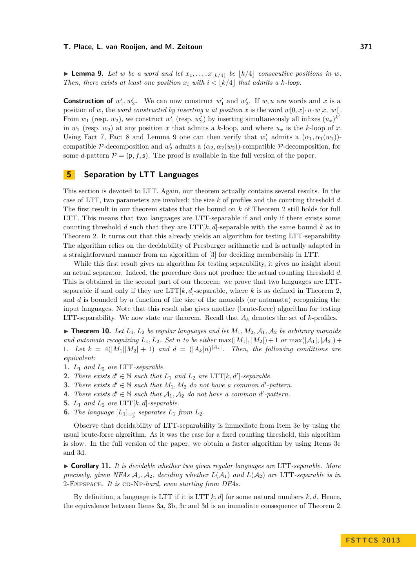<span id="page-8-0"></span>**Example 9.** Let *w* be a word and let  $x_1, \ldots, x_{\lfloor k/4 \rfloor}$  be  $\lfloor k/4 \rfloor$  consecutive positions in w. *Then, there exists at least one position*  $x_i$  with  $i < |k/4|$  that admits a k-loop.

**Construction of**  $w_1', w_2'$ . We can now construct  $w_1'$  and  $w_2'$ . If  $w, u$  are words and *x* is a position of *w*, the *word constructed by inserting u at position x* is the word  $w[0, x] \cdot u \cdot w[x, |w|]$ . From  $w_1$  (resp.  $w_2$ ), we construct  $w'_1$  (resp.  $w'_2$ ) by inserting simultaneously all infixes  $(u_x)^{k'}$ in  $w_1$  (resp.  $w_2$ ) at any position *x* that admits a *k*-loop, and where  $u_x$  is the *k*-loop of *x*. Using Fact [7,](#page-7-2) Fact [8](#page-7-3) and Lemma [9](#page-8-0) one can then verify that  $w'_1$  admits a  $(\alpha_1, \alpha_1(w_1))$ compatible P-decomposition and  $w'_2$  admits a  $(\alpha_2, \alpha_2(w_2))$ -compatible P-decomposition, for some *d*-pattern  $\mathcal{P} = (\mathfrak{p}, f, \mathfrak{s})$ . The proof is available in the full version of the paper.

# <span id="page-8-9"></span>**5 Separation by LTT Languages**

This section is devoted to LTT. Again, our theorem actually contains several results. In the case of LTT, two parameters are involved: the size *k* of profiles and the counting threshold *d*. The first result in our theorem states that the bound on *k* of Theorem [2](#page-5-1) still holds for full LTT. This means that two languages are LTT-separable if and only if there exists some counting threshold *d* such that they are LTT $[k, d]$ -separable with the same bound *k* as in Theorem [2.](#page-5-1) It turns out that this already yields an algorithm for testing LTT-separability. The algorithm relies on the decidability of Presburger arithmetic and is actually adapted in a straightforward manner from an algorithm of [\[3\]](#page-11-13) for deciding membership in LTT.

While this first result gives an algorithm for testing separability, it gives no insight about an actual separator. Indeed, the procedure does not produce the actual counting threshold *d*. This is obtained in the second part of our theorem: we prove that two languages are LTTseparable if and only if they are  $LTT[k, d]$ -separable, where *k* is as defined in Theorem [2,](#page-5-1) and *d* is bounded by a function of the size of the monoids (or automata) recognizing the input languages. Note that this result also gives another (brute-force) algorithm for testing LTT-separability. We now state our theorem. Recall that  $A_k$  denotes the set of  $k$ -profiles.

<span id="page-8-8"></span> $\triangleright$  **Theorem 10.** Let  $L_1, L_2$  be regular languages and let  $M_1, M_2, \mathcal{A}_1, \mathcal{A}_2$  be arbitrary monoids *and automata recognizing*  $L_1, L_2$ *. Set n to be either* max $(|M_1|, |M_2|) + 1$  *or* max $(|A_1|, |A_2|) +$ 1*.* Let  $k = 4(|M_1||M_2| + 1)$  and  $d = (|A_k|n)^{|A_k|}$ . Then, the following conditions are *equivalent:*

- <span id="page-8-4"></span>**1.** *L*<sup>1</sup> *and L*<sup>2</sup> *are* LTT*-separable.*
- <span id="page-8-5"></span>**2.** *There exists*  $d' \in \mathbb{N}$  *such that*  $L_1$  *and*  $L_2$  *are* LTT[ $k, d'$ ]-separable.
- <span id="page-8-2"></span>**3.** *There exists*  $d' \in \mathbb{N}$  *such that*  $M_1, M_2$  *do not have a common d'-pattern.*
- <span id="page-8-3"></span>**4.** *There exists*  $d' \in \mathbb{N}$  *such that*  $A_1, A_2$  *do not have a common d'-pattern.*
- <span id="page-8-1"></span>**5.**  $L_1$  *and*  $L_2$  *are* LTT[ $k$ *, d*]*-separable.*
- <span id="page-8-6"></span>**6.** *The language*  $[L_1]_{\equiv k \atop k}$  *separates*  $L_1$  *from*  $L_2$ *.*

Observe that decidability of LTT-separability is immediate from Item [3e](#page-8-1) by using the usual brute-force algorithm. As it was the case for a fixed counting threshold, this algorithm is slow. In the full version of the paper, we obtain a faster algorithm by using Items [3c](#page-8-2) and [3d.](#page-8-3)

<span id="page-8-7"></span>I **Corollary 11.** *It is decidable whether two given regular languages are* LTT*-separable. More precisely, given NFAs*  $A_1$ ,  $A_2$ , deciding whether  $L(A_1)$  and  $L(A_2)$  are LTT-separable is in 2-Expspace*. It is* co-Np*-hard, even starting from DFAs.*

By definition, a language is LTT if it is  $LTT[k, d]$  for some natural numbers  $k, d$ . Hence, the equivalence between Items [3a,](#page-8-4) [3b,](#page-8-5) [3c](#page-8-2) and [3d](#page-8-3) is an immediate consequence of Theorem [2.](#page-5-1)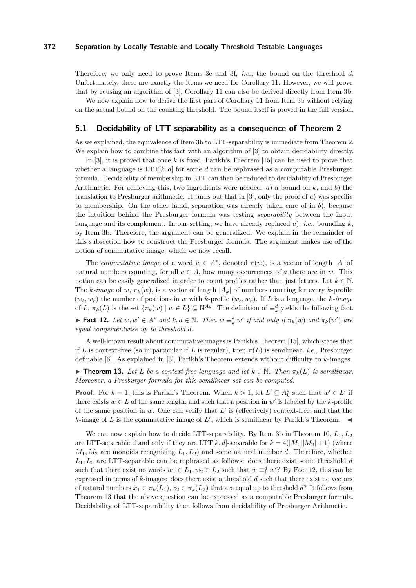Therefore, we only need to prove Items [3e](#page-8-1) and [3f,](#page-8-6) *i.e.*, the bound on the threshold *d*. Unfortunately, these are exactly the items we need for Corollary [11.](#page-8-7) However, we will prove that by reusing an algorithm of [\[3\]](#page-11-13), Corollary [11](#page-8-7) can also be derived directly from Item [3b.](#page-8-5)

We now explain how to derive the first part of Corollary [11](#page-8-7) from Item [3b](#page-8-5) without relying on the actual bound on the counting threshold. The bound itself is proved in the full version.

## **5.1 Decidability of LTT-separability as a consequence of Theorem [2](#page-5-1)**

As we explained, the equivalence of Item [3b](#page-8-5) to LTT-separability is immediate from Theorem [2.](#page-5-1) We explain how to combine this fact with an algorithm of  $[3]$  to obtain decidability directly.

In [\[3\]](#page-11-13), it is proved that once *k* is fixed, Parikh's Theorem [\[15\]](#page-11-14) can be used to prove that whether a language is  $LTT[k, d]$  for some *d* can be rephrased as a computable Presburger formula. Decidability of membership in LTT can then be reduced to decidability of Presburger Arithmetic. For achieving this, two ingredients were needed: *a*) a bound on *k*, and *b*) the translation to Presburger arithmetic. It turns out that in [\[3\]](#page-11-13), only the proof of *a*) was specific to membership. On the other hand, separation was already taken care of in *b*), because the intuition behind the Presburger formula was testing *separability* between the input language and its complement. In our setting, we have already replaced *a*), *i.e.*, bounding *k*, by Item [3b.](#page-8-5) Therefore, the argument can be generalized. We explain in the remainder of this subsection how to construct the Presburger formula. The argument makes use of the notion of commutative image, which we now recall.

The *commutative image* of a word  $w \in A^*$ , denoted  $\pi(w)$ , is a vector of length |*A*| of natural numbers counting, for all  $a \in A$ , how many occurrences of *a* there are in *w*. This notion can be easily generalized in order to count profiles rather than just letters. Let  $k \in \mathbb{N}$ . The  $k$ *-image* of  $w$ ,  $\pi_k(w)$ , is a vector of length  $|A_k|$  of numbers counting for every  $k$ -profile  $(w_{\ell}, w_r)$  the number of positions in *w* with *k*-profile  $(w_{\ell}, w_r)$ . If *L* is a language, the *k*-image of *L*,  $\pi_k(L)$  is the set  $\{\pi_k(w) \mid w \in L\} \subseteq \mathbb{N}^{A_k}$ . The definition of  $\equiv_k^d$  yields the following fact. ► Fact 12. Let  $w, w' \in A^*$  and  $k, d \in \mathbb{N}$ . Then  $w \equiv_k^d w'$  if and only if  $\pi_k(w)$  and  $\pi_k(w')$  are *equal componentwise up to threshold d.*

<span id="page-9-0"></span>A well-known result about commutative images is Parikh's Theorem [\[15\]](#page-11-14), which states that if *L* is context-free (so in particular if *L* is regular), then  $\pi(L)$  is semilinear, *i.e.*, Presburger definable [\[6\]](#page-11-15). As explained in [\[3\]](#page-11-13), Parikh's Theorem extends without difficulty to *k*-images.

<span id="page-9-1"></span>**► Theorem 13.** Let *L* be a context-free language and let  $k \in \mathbb{N}$ . Then  $\pi_k(L)$  is semilinear. *Moreover, a Presburger formula for this semilinear set can be computed.*

**Proof.** For  $k = 1$ , this is Parikh's Theorem. When  $k > 1$ , let  $L' \subseteq A_k^*$  such that  $w' \in L'$  if there exists  $w \in L$  of the same length, and such that a position in  $w'$  is labeled by the *k*-profile of the same position in  $w$ . One can verify that  $L'$  is (effectively) context-free, and that the *k*-image of *L* is the commutative image of  $L'$ , which is semilinear by Parikh's Theorem.

We can now explain how to decide LTT-separability. By Item [3b](#page-8-5) in Theorem [10,](#page-8-8)  $L_1, L_2$ are LTT-separable if and only if they are LTT[ $k$ ,  $d$ ]-separable for  $k = 4(|M_1||M_2| + 1)$  (where  $M_1, M_2$  are monoids recognizing  $L_1, L_2$  and some natural number *d*. Therefore, whether *L*1*, L*<sup>2</sup> are LTT-separable can be rephrased as follows: does there exist some threshold *d* such that there exist no words  $w_1 \in L_1, w_2 \in L_2$  such that  $w \equiv_k^d w'$ ? By Fact [12,](#page-9-0) this can be expressed in terms of *k*-images: does there exist a threshold *d* such that there exist no vectors of natural numbers  $\bar{x}_1 \in \pi_k(L_1), \bar{x}_2 \in \pi_k(L_2)$  that are equal up to threshold *d*? It follows from Theorem [13](#page-9-1) that the above question can be expressed as a computable Presburger formula. Decidability of LTT-separability then follows from decidability of Presburger Arithmetic.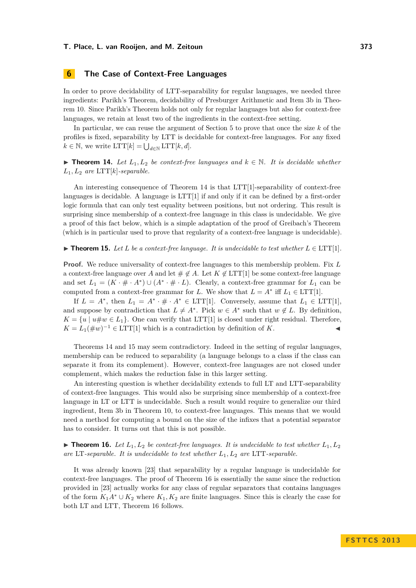# **6 The Case of Context-Free Languages**

In order to prove decidability of LTT-separability for regular languages, we needed three ingredients: Parikh's Theorem, decidability of Presburger Arithmetic and Item [3b](#page-8-5) in Theorem [10.](#page-8-8) Since Parikh's Theorem holds not only for regular languages but also for context-free languages, we retain at least two of the ingredients in the context-free setting.

In particular, we can reuse the argument of Section [5](#page-8-9) to prove that once the size *k* of the profiles is fixed, separability by LTT is decidable for context-free languages. For any fixed  $k \in \mathbb{N}$ , we write  $\text{LTT}[k] = \bigcup_{d \in \mathbb{N}} \text{LTT}[k, d].$ 

<span id="page-10-0"></span>▶ **Theorem 14.** Let  $L_1, L_2$  be context-free languages and  $k \in \mathbb{N}$ . It is decidable whether  $L_1, L_2$  *are*  $\text{LTT}[k]$ *-separable.* 

An interesting consequence of Theorem [14](#page-10-0) is that LTT[1]-separability of context-free languages is decidable. A language is  $LTT[1]$  if and only if it can be defined by a first-order logic formula that can only test equality between positions, but not ordering. This result is surprising since membership of a context-free language in this class is undecidable. We give a proof of this fact below, which is a simple adaptation of the proof of Greibach's Theorem (which is in particular used to prove that regularity of a context-free language is undecidable).

<span id="page-10-1"></span>▶ **Theorem 15.** Let L be a context-free language. It is undecidable to test whether  $L \in \text{LTT}[1]$ .

**Proof.** We reduce universality of context-free languages to this membership problem. Fix *L* a context-free language over *A* and let  $\#\notin A$ . Let  $K \notin LTT[1]$  be some context-free language and set  $L_1 = (K \cdot \# \cdot A^*) \cup (A^* \cdot \# \cdot L)$ . Clearly, a context-free grammar for  $L_1$  can be computed from a context-free grammar for *L*. We show that  $L = A^*$  iff  $L_1 \in \text{LTT}[1]$ .

If  $L = A^*$ , then  $L_1 = A^* \cdot \# \cdot A^* \in \text{LTT}[1]$ . Conversely, assume that  $L_1 \in \text{LTT}[1]$ , and suppose by contradiction that  $L \neq A^*$ . Pick  $w \in A^*$  such that  $w \notin L$ . By definition,  $K = \{u \mid u \# w \in L_1\}.$  One can verify that LTT[1] is closed under right residual. Therefore,  $K = L_1(\# w)^{-1} \in \text{LTT}[1]$  which is a contradiction by definition of *K*.

Theorems [14](#page-10-0) and [15](#page-10-1) may seem contradictory. Indeed in the setting of regular languages, membership can be reduced to separability (a language belongs to a class if the class can separate it from its complement). However, context-free languages are not closed under complement, which makes the reduction false in this larger setting.

An interesting question is whether decidability extends to full LT and LTT-separability of context-free languages. This would also be surprising since membership of a context-free language in LT or LTT is undecidable. Such a result would require to generalize our third ingredient, Item [3b](#page-8-5) in Theorem [10,](#page-8-8) to context-free languages. This means that we would need a method for computing a bound on the size of the infixes that a potential separator has to consider. It turns out that this is not possible.

<span id="page-10-2"></span>**In Theorem 16.** Let  $L_1, L_2$  be context-free languages. It is undecidable to test whether  $L_1, L_2$ are LT-separable. It is undecidable to test whether  $L_1, L_2$  are LTT-separable.

It was already known [\[23\]](#page-12-11) that separability by a regular language is undecidable for context-free languages. The proof of Theorem [16](#page-10-2) is essentially the same since the reduction provided in [\[23\]](#page-12-11) actually works for any class of regular separators that contains languages of the form  $K_1A^* \cup K_2$  where  $K_1, K_2$  are finite languages. Since this is clearly the case for both LT and LTT, Theorem [16](#page-10-2) follows.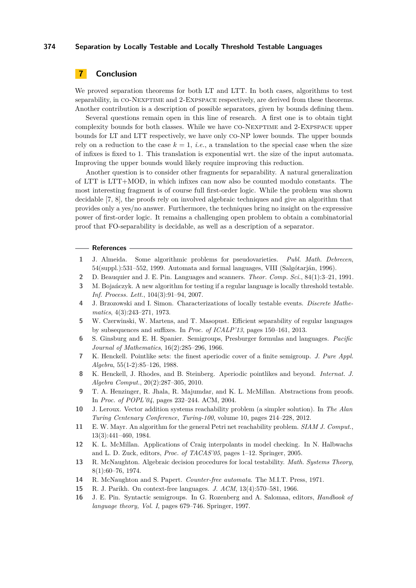# **7 Conclusion**

We proved separation theorems for both LT and LTT. In both cases, algorithms to test separability, in CO-NEXPTIME and 2-EXPSPACE respectively, are derived from these theorems. Another contribution is a description of possible separators, given by bounds defining them.

Several questions remain open in this line of research. A first one is to obtain tight complexity bounds for both classes. While we have co-Nexptime and 2-Expspace upper bounds for LT and LTT respectively, we have only co-NP lower bounds. The upper bounds rely on a reduction to the case  $k = 1$ , *i.e.*, a translation to the special case when the size of infixes is fixed to 1. This translation is exponential wrt. the size of the input automata. Improving the upper bounds would likely require improving this reduction.

Another question is to consider other fragments for separability. A natural generalization of LTT is LTT+MOD, in which infixes can now also be counted modulo constants. The most interesting fragment is of course full first-order logic. While the problem was shown decidable [\[7,](#page-11-7) [8\]](#page-11-8), the proofs rely on involved algebraic techniques and give an algorithm that provides only a yes/no answer. Furthermore, the techniques bring no insight on the expressive power of first-order logic. It remains a challenging open problem to obtain a combinatorial proof that FO-separability is decidable, as well as a description of a separator.

#### **References**

- <span id="page-11-11"></span>**1** J. Almeida. Some algorithmic problems for pseudovarieties. *Publ. Math. Debrecen*, 54(suppl.):531–552, 1999. Automata and formal languages, VIII (Salgótarján, 1996).
- <span id="page-11-12"></span>**2** D. Beauquier and J. E. Pin. Languages and scanners. *Theor. Comp. Sci.*, 84(1):3–21, 1991.
- <span id="page-11-13"></span>**3** M. Bojańczyk. A new algorithm for testing if a regular language is locally threshold testable. *Inf. Process. Lett.*, 104(3):91–94, 2007.
- <span id="page-11-10"></span>**4** J. Brzozowski and I. Simon. Characterizations of locally testable events. *Discrete Mathematics*, 4(3):243–271, 1973.
- <span id="page-11-6"></span>**5** W. Czerwinski, W. Martens, and T. Masopust. Efficient separability of regular languages by subsequences and suffixes. In *Proc. of ICALP'13*, pages 150–161, 2013.
- <span id="page-11-15"></span>**6** S. Ginsburg and E. H. Spanier. Semigroups, Presburger formulas and languages. *Pacific Journal of Mathematics*, 16(2):285–296, 1966.
- <span id="page-11-7"></span>**7** K. Henckell. Pointlike sets: the finest aperiodic cover of a finite semigroup. *J. Pure Appl. Algebra*, 55(1-2):85–126, 1988.
- <span id="page-11-8"></span>**8** K. Henckell, J. Rhodes, and B. Steinberg. Aperiodic pointlikes and beyond. *Internat. J. Algebra Comput.*, 20(2):287–305, 2010.
- <span id="page-11-3"></span>**9** T. A. Henzinger, R. Jhala, R. Majumdar, and K. L. McMillan. Abstractions from proofs. In *Proc. of POPL'04*, pages 232–244. ACM, 2004.
- <span id="page-11-4"></span>**10** J. Leroux. Vector addition systems reachability problem (a simpler solution). In *The Alan Turing Centenary Conference, Turing-100*, volume 10, pages 214–228, 2012.
- <span id="page-11-5"></span>**11** E. W. Mayr. An algorithm for the general Petri net reachability problem. *SIAM J. Comput.*, 13(3):441–460, 1984.
- <span id="page-11-2"></span>**12** K. L. McMillan. Applications of Craig interpolants in model checking. In N. Halbwachs and L. D. Zuck, editors, *Proc. of TACAS'05*, pages 1–12. Springer, 2005.
- <span id="page-11-9"></span>**13** R. McNaughton. Algebraic decision procedures for local testability. *Math. Systems Theory*, 8(1):60–76, 1974.
- <span id="page-11-1"></span>**14** R. McNaughton and S. Papert. *Counter-free automata*. The M.I.T. Press, 1971.
- <span id="page-11-14"></span>**15** R. J. Parikh. On context-free languages. *J. ACM*, 13(4):570–581, 1966.
- <span id="page-11-0"></span>**16** J. E. Pin. Syntactic semigroups. In G. Rozenberg and A. Salomaa, editors, *Handbook of language theory, Vol. I*, pages 679–746. Springer, 1997.